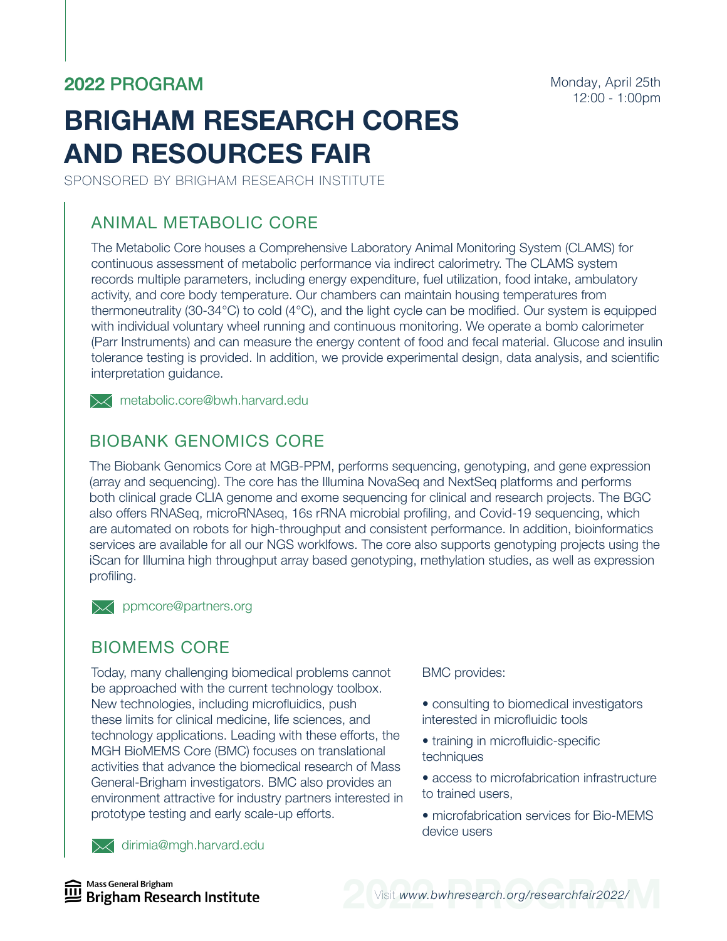# **2022** PROGRAM

Monday, April 25th 12:00 - 1:00pm

# **BRIGHAM RESEARCH CORES AND RESOURCES FAIR**

SPONSORED BY BRIGHAM RESEARCH INSTITUTE

### ANIMAL METABOLIC CORE

The Metabolic Core houses a Comprehensive Laboratory Animal Monitoring System (CLAMS) for continuous assessment of metabolic performance via indirect calorimetry. The CLAMS system records multiple parameters, including energy expenditure, fuel utilization, food intake, ambulatory activity, and core body temperature. Our chambers can maintain housing temperatures from thermoneutrality (30-34°C) to cold (4°C), and the light cycle can be modified. Our system is equipped with individual voluntary wheel running and continuous monitoring. We operate a bomb calorimeter (Parr Instruments) and can measure the energy content of food and fecal material. Glucose and insulin tolerance testing is provided. In addition, we provide experimental design, data analysis, and scientific interpretation guidance.

**X** metabolic.core@bwh.harvard.edu

#### BIOBANK GENOMICS CORE

The Biobank Genomics Core at MGB-PPM, performs sequencing, genotyping, and gene expression (array and sequencing). The core has the Illumina NovaSeq and NextSeq platforms and performs both clinical grade CLIA genome and exome sequencing for clinical and research projects. The BGC also offers RNASeq, microRNAseq, 16s rRNA microbial profiling, and Covid-19 sequencing, which are automated on robots for high-throughput and consistent performance. In addition, bioinformatics services are available for all our NGS worklfows. The core also supports genotyping projects using the iScan for Illumina high throughput array based genotyping, methylation studies, as well as expression profiling.

**XX** ppmcore@partners.org

#### BIOMEMS CORE

Today, many challenging biomedical problems cannot be approached with the current technology toolbox. New technologies, including microfluidics, push these limits for clinical medicine, life sciences, and technology applications. Leading with these efforts, the MGH BioMEMS Core (BMC) focuses on translational activities that advance the biomedical research of Mass General-Brigham investigators. BMC also provides an environment attractive for industry partners interested in prototype testing and early scale-up efforts.

**X** dirimia@mgh.harvard.edu

BMC provides:

- consulting to biomedical investigators interested in microfluidic tools
- training in microfluidic-specific techniques
- access to microfabrication infrastructure to trained users,
- microfabrication services for Bio-MEMS device users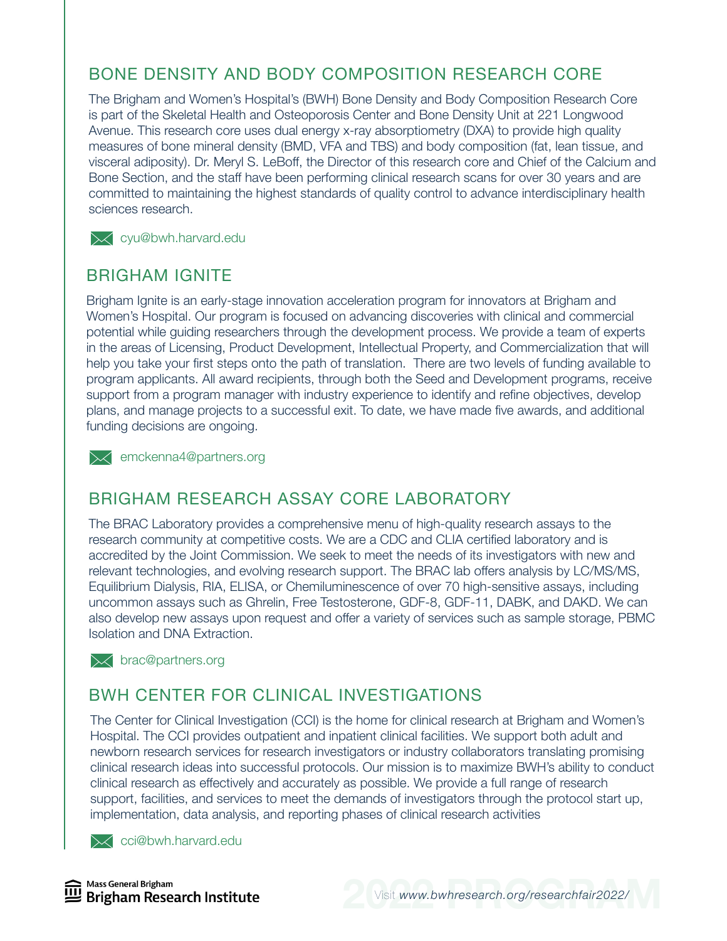# BONE DENSITY AND BODY COMPOSITION RESEARCH CORE

The Brigham and Women's Hospital's (BWH) Bone Density and Body Composition Research Core is part of the Skeletal Health and Osteoporosis Center and Bone Density Unit at 221 Longwood Avenue. This research core uses dual energy x-ray absorptiometry (DXA) to provide high quality measures of bone mineral density (BMD, VFA and TBS) and body composition (fat, lean tissue, and visceral adiposity). Dr. Meryl S. LeBoff, the Director of this research core and Chief of the Calcium and Bone Section, and the staff have been performing clinical research scans for over 30 years and are committed to maintaining the highest standards of quality control to advance interdisciplinary health sciences research.

**X** cyu@bwh.harvard.edu

#### BRIGHAM IGNITE

Brigham Ignite is an early-stage innovation acceleration program for innovators at Brigham and Women's Hospital. Our program is focused on advancing discoveries with clinical and commercial potential while guiding researchers through the development process. We provide a team of experts in the areas of Licensing, Product Development, Intellectual Property, and Commercialization that will help you take your first steps onto the path of translation. There are two levels of funding available to program applicants. All award recipients, through both the Seed and Development programs, receive support from a program manager with industry experience to identify and refine objectives, develop plans, and manage projects to a successful exit. To date, we have made five awards, and additional funding decisions are ongoing.

 $\mathbb{\times}$  emckenna4@partners.org

#### BRIGHAM RESEARCH ASSAY CORE LABORATORY

The BRAC Laboratory provides a comprehensive menu of high-quality research assays to the research community at competitive costs. We are a CDC and CLIA certified laboratory and is accredited by the Joint Commission. We seek to meet the needs of its investigators with new and relevant technologies, and evolving research support. The BRAC lab offers analysis by LC/MS/MS, Equilibrium Dialysis, RIA, ELISA, or Chemiluminescence of over 70 high-sensitive assays, including uncommon assays such as Ghrelin, Free Testosterone, GDF-8, GDF-11, DABK, and DAKD. We can also develop new assays upon request and offer a variety of services such as sample storage, PBMC Isolation and DNA Extraction.

 $\times$  brac@partners.org

#### BWH CENTER FOR CLINICAL INVESTIGATIONS

The Center for Clinical Investigation (CCI) is the home for clinical research at Brigham and Women's Hospital. The CCI provides outpatient and inpatient clinical facilities. We support both adult and newborn research services for research investigators or industry collaborators translating promising clinical research ideas into successful protocols. Our mission is to maximize BWH's ability to conduct clinical research as effectively and accurately as possible. We provide a full range of research support, facilities, and services to meet the demands of investigators through the protocol start up, implementation, data analysis, and reporting phases of clinical research activities

**X** cci@bwh.harvard.edu

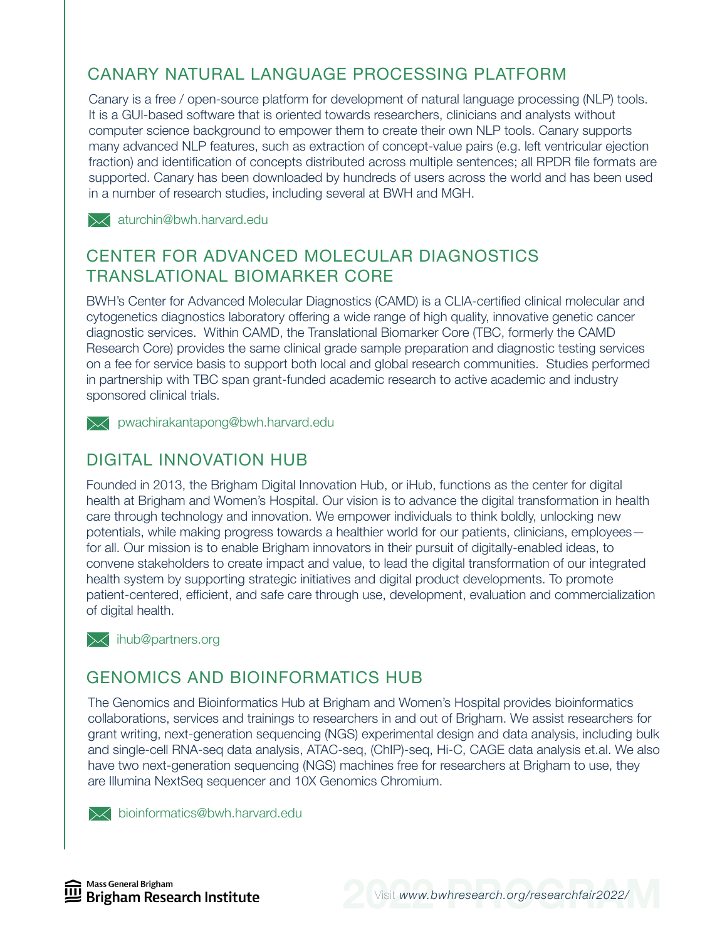# CANARY NATURAL LANGUAGE PROCESSING PLATFORM

Canary is a free / open-source platform for development of natural language processing (NLP) tools. It is a GUI-based software that is oriented towards researchers, clinicians and analysts without computer science background to empower them to create their own NLP tools. Canary supports many advanced NLP features, such as extraction of concept-value pairs (e.g. left ventricular ejection fraction) and identification of concepts distributed across multiple sentences; all RPDR file formats are supported. Canary has been downloaded by hundreds of users across the world and has been used in a number of research studies, including several at BWH and MGH.

 $\mathbb{R}$  aturchin@bwh.harvard.edu

#### CENTER FOR ADVANCED MOLECULAR DIAGNOSTICS TRANSLATIONAL BIOMARKER CORE

BWH's Center for Advanced Molecular Diagnostics (CAMD) is a CLIA-certified clinical molecular and cytogenetics diagnostics laboratory offering a wide range of high quality, innovative genetic cancer diagnostic services. Within CAMD, the Translational Biomarker Core (TBC, formerly the CAMD Research Core) provides the same clinical grade sample preparation and diagnostic testing services on a fee for service basis to support both local and global research communities. Studies performed in partnership with TBC span grant-funded academic research to active academic and industry sponsored clinical trials.

**X** pwachirakantapong@bwh.harvard.edu

#### DIGITAL INNOVATION HUB

Founded in 2013, the Brigham Digital Innovation Hub, or iHub, functions as the center for digital health at Brigham and Women's Hospital. Our vision is to advance the digital transformation in health care through technology and innovation. We empower individuals to think boldly, unlocking new potentials, while making progress towards a healthier world for our patients, clinicians, employees for all. Our mission is to enable Brigham innovators in their pursuit of digitally-enabled ideas, to convene stakeholders to create impact and value, to lead the digital transformation of our integrated health system by supporting strategic initiatives and digital product developments. To promote patient-centered, efficient, and safe care through use, development, evaluation and commercialization of digital health.

 $\lambda$  ihub@partners.org

#### GENOMICS AND BIOINFORMATICS HUB

The Genomics and Bioinformatics Hub at Brigham and Women's Hospital provides bioinformatics collaborations, services and trainings to researchers in and out of Brigham. We assist researchers for grant writing, next-generation sequencing (NGS) experimental design and data analysis, including bulk and single-cell RNA-seq data analysis, ATAC-seq, (ChIP)-seq, Hi-C, CAGE data analysis et.al. We also have two next-generation sequencing (NGS) machines free for researchers at Brigham to use, they are Illumina NextSeq sequencer and 10X Genomics Chromium.

**X** bioinformatics@bwh.harvard.edu

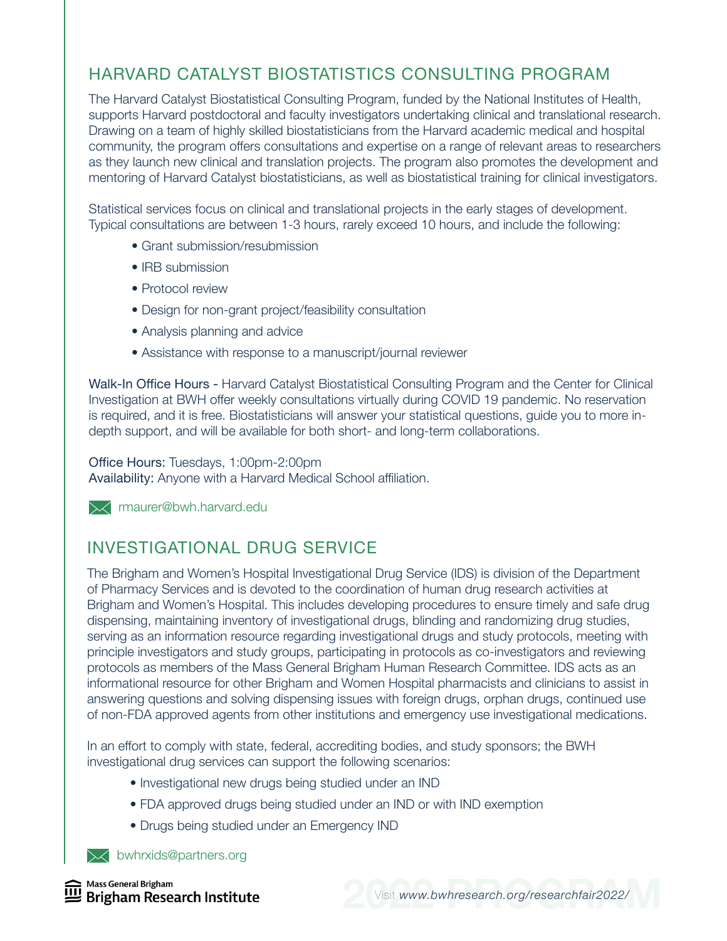# HARVARD CATALYST BIOSTATISTICS CONSULTING PROGRAM

The Harvard Catalyst Biostatistical Consulting Program, funded by the National Institutes of Health, supports Harvard postdoctoral and faculty investigators undertaking clinical and translational research. Drawing on a team of highly skilled biostatisticians from the Harvard academic medical and hospital community, the program offers consultations and expertise on a range of relevant areas to researchers as they launch new clinical and translation projects. The program also promotes the development and mentoring of Harvard Catalyst biostatisticians, as well as biostatistical training for clinical investigators.

Statistical services focus on clinical and translational projects in the early stages of development. Typical consultations are between 1-3 hours, rarely exceed 10 hours, and include the following:

- Grant submission/resubmission
- IRB submission
- Protocol review
- Design for non-grant project/feasibility consultation
- Analysis planning and advice
- Assistance with response to a manuscript/journal reviewer

Walk-In Office Hours - Harvard Catalyst Biostatistical Consulting Program and the Center for Clinical Investigation at BWH offer weekly consultations virtually during COVID 19 pandemic. No reservation is required, and it is free. Biostatisticians will answer your statistical questions, guide you to more indepth support, and will be available for both short- and long-term collaborations.

#### Office Hours: Tuesdays, 1:00pm-2:00pm

Availability: Anyone with a Harvard Medical School affiliation.

**X** maurer@bwh.harvard.edu

#### INVESTIGATIONAL DRUG SERVICE

The Brigham and Women's Hospital Investigational Drug Service (IDS) is division of the Department of Pharmacy Services and is devoted to the coordination of human drug research activities at Brigham and Women's Hospital. This includes developing procedures to ensure timely and safe drug dispensing, maintaining inventory of investigational drugs, blinding and randomizing drug studies, serving as an information resource regarding investigational drugs and study protocols, meeting with principle investigators and study groups, participating in protocols as co-investigators and reviewing protocols as members of the Mass General Brigham Human Research Committee. IDS acts as an informational resource for other Brigham and Women Hospital pharmacists and clinicians to assist in answering questions and solving dispensing issues with foreign drugs, orphan drugs, continued use of non-FDA approved agents from other institutions and emergency use investigational medications.

In an effort to comply with state, federal, accrediting bodies, and study sponsors; the BWH investigational drug services can support the following scenarios:

- Investigational new drugs being studied under an IND
- FDA approved drugs being studied under an IND or with IND exemption
- Drugs being studied under an Emergency IND

**XX** bwhrxids@partners.org

Mass General Brigham **Brigham Research Institute** 

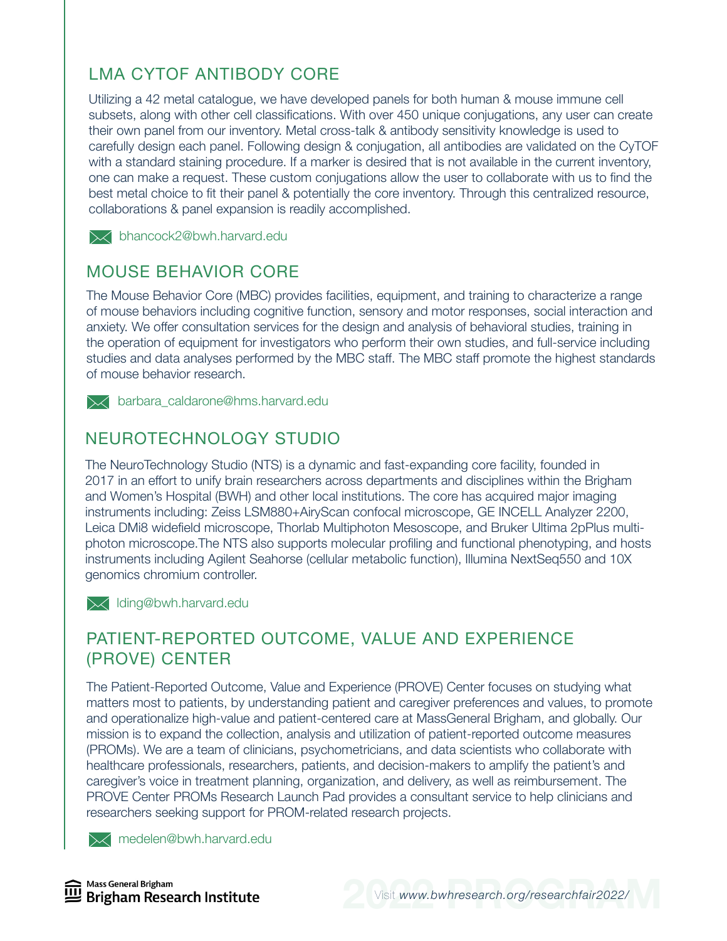# LMA CYTOF ANTIBODY CORE

Utilizing a 42 metal catalogue, we have developed panels for both human & mouse immune cell subsets, along with other cell classifications. With over 450 unique conjugations, any user can create their own panel from our inventory. Metal cross-talk & antibody sensitivity knowledge is used to carefully design each panel. Following design & conjugation, all antibodies are validated on the CyTOF with a standard staining procedure. If a marker is desired that is not available in the current inventory, one can make a request. These custom conjugations allow the user to collaborate with us to find the best metal choice to fit their panel & potentially the core inventory. Through this centralized resource, collaborations & panel expansion is readily accomplished.

**X** bhancock2@bwh.harvard.edu

#### MOUSE BEHAVIOR CORE

The Mouse Behavior Core (MBC) provides facilities, equipment, and training to characterize a range of mouse behaviors including cognitive function, sensory and motor responses, social interaction and anxiety. We offer consultation services for the design and analysis of behavioral studies, training in the operation of equipment for investigators who perform their own studies, and full-service including studies and data analyses performed by the MBC staff. The MBC staff promote the highest standards of mouse behavior research.

**X** barbara caldarone@hms.harvard.edu

## NEUROTECHNOLOGY STUDIO

The NeuroTechnology Studio (NTS) is a dynamic and fast-expanding core facility, founded in 2017 in an effort to unify brain researchers across departments and disciplines within the Brigham and Women's Hospital (BWH) and other local institutions. The core has acquired major imaging instruments including: Zeiss LSM880+AiryScan confocal microscope, GE INCELL Analyzer 2200, Leica DMi8 widefield microscope, Thorlab Multiphoton Mesoscope, and Bruker Ultima 2pPlus multiphoton microscope.The NTS also supports molecular profiling and functional phenotyping, and hosts instruments including Agilent Seahorse (cellular metabolic function), Illumina NextSeq550 and 10X genomics chromium controller.

**X** Iding@bwh.harvard.edu

#### PATIENT-REPORTED OUTCOME, VALUE AND EXPERIENCE (PROVE) CENTER

The Patient-Reported Outcome, Value and Experience (PROVE) Center focuses on studying what matters most to patients, by understanding patient and caregiver preferences and values, to promote and operationalize high-value and patient-centered care at MassGeneral Brigham, and globally. Our mission is to expand the collection, analysis and utilization of patient-reported outcome measures (PROMs). We are a team of clinicians, psychometricians, and data scientists who collaborate with healthcare professionals, researchers, patients, and decision-makers to amplify the patient's and caregiver's voice in treatment planning, organization, and delivery, as well as reimbursement. The PROVE Center PROMs Research Launch Pad provides a consultant service to help clinicians and researchers seeking support for PROM-related research projects.

**X** medelen@bwh.harvard.edu